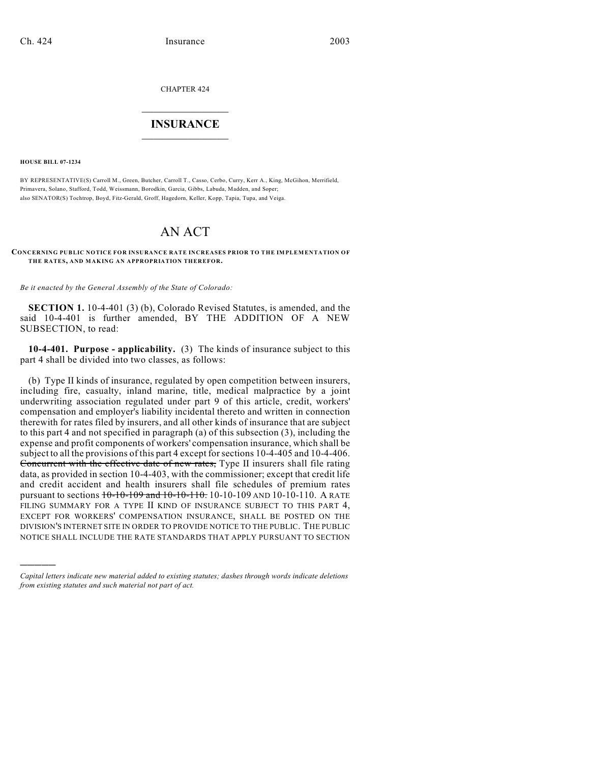CHAPTER 424

## $\overline{\phantom{a}}$  . The set of the set of the set of the set of the set of the set of the set of the set of the set of the set of the set of the set of the set of the set of the set of the set of the set of the set of the set o **INSURANCE**  $\frac{1}{2}$  ,  $\frac{1}{2}$  ,  $\frac{1}{2}$  ,  $\frac{1}{2}$  ,  $\frac{1}{2}$  ,  $\frac{1}{2}$  ,  $\frac{1}{2}$

**HOUSE BILL 07-1234**

)))))

BY REPRESENTATIVE(S) Carroll M., Green, Butcher, Carroll T., Casso, Cerbo, Curry, Kerr A., King, McGihon, Merrifield, Primavera, Solano, Stafford, Todd, Weissmann, Borodkin, Garcia, Gibbs, Labuda, Madden, and Soper; also SENATOR(S) Tochtrop, Boyd, Fitz-Gerald, Groff, Hagedorn, Keller, Kopp, Tapia, Tupa, and Veiga.

## AN ACT

## **CONCERNING PUBLIC NOTICE FOR INSURANCE RATE INCREASES PRIOR TO THE IMPLEMENTATION OF THE RATES, AND MAKING AN APPROPRIATION THEREFOR.**

*Be it enacted by the General Assembly of the State of Colorado:*

**SECTION 1.** 10-4-401 (3) (b), Colorado Revised Statutes, is amended, and the said 10-4-401 is further amended, BY THE ADDITION OF A NEW SUBSECTION, to read:

**10-4-401. Purpose - applicability.** (3) The kinds of insurance subject to this part 4 shall be divided into two classes, as follows:

(b) Type II kinds of insurance, regulated by open competition between insurers, including fire, casualty, inland marine, title, medical malpractice by a joint underwriting association regulated under part 9 of this article, credit, workers' compensation and employer's liability incidental thereto and written in connection therewith for rates filed by insurers, and all other kinds of insurance that are subject to this part 4 and not specified in paragraph (a) of this subsection (3), including the expense and profit components of workers' compensation insurance, which shall be subject to all the provisions of this part 4 except for sections 10-4-405 and 10-4-406. Concurrent with the effective date of new rates, Type II insurers shall file rating data, as provided in section 10-4-403, with the commissioner; except that credit life and credit accident and health insurers shall file schedules of premium rates pursuant to sections  $10-10-109$  and  $10-10-110$ .  $10-10-100$  AND  $10-10-110$ . A RATE FILING SUMMARY FOR A TYPE II KIND OF INSURANCE SUBJECT TO THIS PART 4, EXCEPT FOR WORKERS' COMPENSATION INSURANCE, SHALL BE POSTED ON THE DIVISION'S INTERNET SITE IN ORDER TO PROVIDE NOTICE TO THE PUBLIC. THE PUBLIC NOTICE SHALL INCLUDE THE RATE STANDARDS THAT APPLY PURSUANT TO SECTION

*Capital letters indicate new material added to existing statutes; dashes through words indicate deletions from existing statutes and such material not part of act.*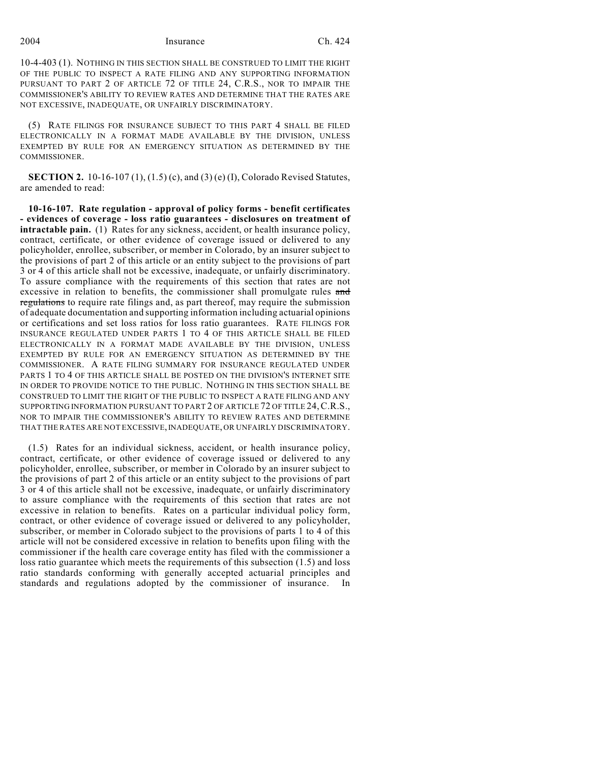2004 Insurance Ch. 424

10-4-403 (1). NOTHING IN THIS SECTION SHALL BE CONSTRUED TO LIMIT THE RIGHT OF THE PUBLIC TO INSPECT A RATE FILING AND ANY SUPPORTING INFORMATION PURSUANT TO PART 2 OF ARTICLE 72 OF TITLE 24, C.R.S., NOR TO IMPAIR THE COMMISSIONER'S ABILITY TO REVIEW RATES AND DETERMINE THAT THE RATES ARE NOT EXCESSIVE, INADEQUATE, OR UNFAIRLY DISCRIMINATORY.

(5) RATE FILINGS FOR INSURANCE SUBJECT TO THIS PART 4 SHALL BE FILED ELECTRONICALLY IN A FORMAT MADE AVAILABLE BY THE DIVISION, UNLESS EXEMPTED BY RULE FOR AN EMERGENCY SITUATION AS DETERMINED BY THE COMMISSIONER.

**SECTION 2.** 10-16-107 (1), (1.5) (c), and (3) (e) (I), Colorado Revised Statutes, are amended to read:

**10-16-107. Rate regulation - approval of policy forms - benefit certificates - evidences of coverage - loss ratio guarantees - disclosures on treatment of intractable pain.** (1) Rates for any sickness, accident, or health insurance policy, contract, certificate, or other evidence of coverage issued or delivered to any policyholder, enrollee, subscriber, or member in Colorado, by an insurer subject to the provisions of part 2 of this article or an entity subject to the provisions of part 3 or 4 of this article shall not be excessive, inadequate, or unfairly discriminatory. To assure compliance with the requirements of this section that rates are not excessive in relation to benefits, the commissioner shall promulgate rules and regulations to require rate filings and, as part thereof, may require the submission of adequate documentation and supporting information including actuarial opinions or certifications and set loss ratios for loss ratio guarantees. RATE FILINGS FOR INSURANCE REGULATED UNDER PARTS 1 TO 4 OF THIS ARTICLE SHALL BE FILED ELECTRONICALLY IN A FORMAT MADE AVAILABLE BY THE DIVISION, UNLESS EXEMPTED BY RULE FOR AN EMERGENCY SITUATION AS DETERMINED BY THE COMMISSIONER. A RATE FILING SUMMARY FOR INSURANCE REGULATED UNDER PARTS 1 TO 4 OF THIS ARTICLE SHALL BE POSTED ON THE DIVISION'S INTERNET SITE IN ORDER TO PROVIDE NOTICE TO THE PUBLIC. NOTHING IN THIS SECTION SHALL BE CONSTRUED TO LIMIT THE RIGHT OF THE PUBLIC TO INSPECT A RATE FILING AND ANY SUPPORTING INFORMATION PURSUANT TO PART 2 OF ARTICLE 72 OF TITLE 24,C.R.S., NOR TO IMPAIR THE COMMISSIONER'S ABILITY TO REVIEW RATES AND DETERMINE THAT THE RATES ARE NOT EXCESSIVE, INADEQUATE, OR UNFAIRLY DISCRIMINATORY.

(1.5) Rates for an individual sickness, accident, or health insurance policy, contract, certificate, or other evidence of coverage issued or delivered to any policyholder, enrollee, subscriber, or member in Colorado by an insurer subject to the provisions of part 2 of this article or an entity subject to the provisions of part 3 or 4 of this article shall not be excessive, inadequate, or unfairly discriminatory to assure compliance with the requirements of this section that rates are not excessive in relation to benefits. Rates on a particular individual policy form, contract, or other evidence of coverage issued or delivered to any policyholder, subscriber, or member in Colorado subject to the provisions of parts 1 to 4 of this article will not be considered excessive in relation to benefits upon filing with the commissioner if the health care coverage entity has filed with the commissioner a loss ratio guarantee which meets the requirements of this subsection (1.5) and loss ratio standards conforming with generally accepted actuarial principles and standards and regulations adopted by the commissioner of insurance. In